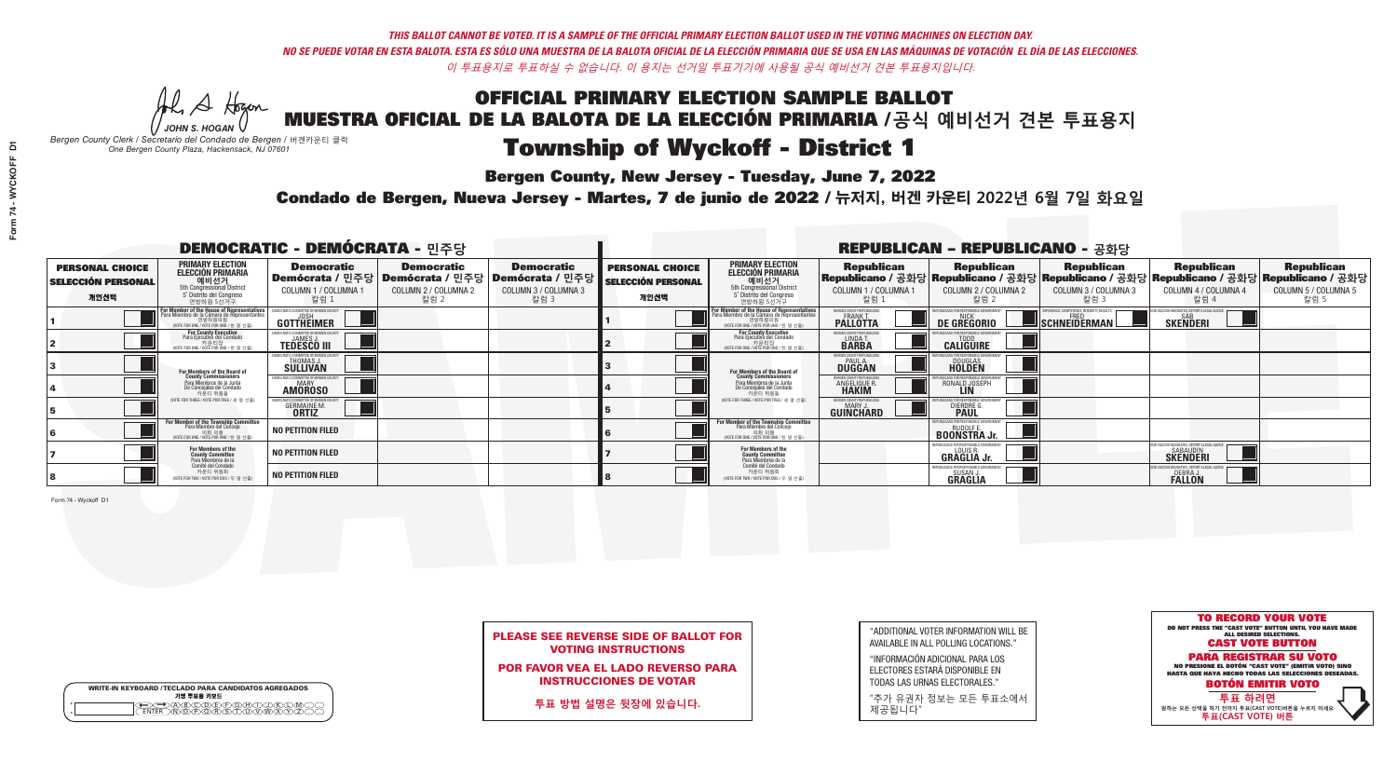**Bergen County, New Jersey - Tuesday, June 7, 2022** 

Al Stogan *JOHN S. HOGAN*

|              | <b>WRITE-IN KEYBOARD /TECLADO PARA CANDIDATOS AGREGADOS</b><br>기명 투표용 키보드 |  |
|--------------|---------------------------------------------------------------------------|--|
| ٥<br>$\circ$ | XO/D/EXFXG)<br>⋎ॻ                                                         |  |

*Bergen County Clerk / Secretario del Condado de Bergen /* 버겐카운티 클럭 *One Bergen County Plaza, Hackensack, NJ 07601*

Condado de Bergen, Nueva Jersey - Martes, 7 de junio de 2022 / 뉴저지, 버겐 카운티 2022년 6월 7일 화요일 *One Bergen County Plaza, Hackensack, NJ 07601*



| <b>PLEASE SEE REVERSE SIDE OF BALLOT FOR</b> |  |
|----------------------------------------------|--|
| <b>VOTING INSTRUCTIONS</b>                   |  |

POR FAVOR VEA EL LADO REVERSO PARA INSTRUCCIONES DE VOTAR

**투표 방법 설명은 뒷장에 있습니다.**

"ADDITIONAL VOTER INFORMATION WILL BE AVAILABLE IN ALL POLLING LOCATIONS."

"INFORMACIÓN ADICIONAL PARA LOS ELECTORES ESTARÁ DISPONIBLE EN TODAS LAS URNAS ELECTORALES."

"추가 유권자 정보는 모든 투표소에서 제공됩니다"

| <b>DEMOCRATIC - DEMÓCRATA - 민주당</b>                         |                                                                                                                                                           |                                                                             |                                                   |                                                                                                            |                                                             |                                                                                                                                   |                                                                      | <b>REPUBLICAN - REPUBLICANO - 공화당</b>                      |                                                          |                                                                                    |                                                                                                                                                |
|-------------------------------------------------------------|-----------------------------------------------------------------------------------------------------------------------------------------------------------|-----------------------------------------------------------------------------|---------------------------------------------------|------------------------------------------------------------------------------------------------------------|-------------------------------------------------------------|-----------------------------------------------------------------------------------------------------------------------------------|----------------------------------------------------------------------|------------------------------------------------------------|----------------------------------------------------------|------------------------------------------------------------------------------------|------------------------------------------------------------------------------------------------------------------------------------------------|
| <b>PERSONAL CHOICE</b><br><b>SELECCIÓN PERSONAL</b><br>개인선택 | <b>PRIMARY ELECTION</b><br><b>ELECCIÓN PRIMARIA</b><br>해비선거<br><sub>5th</sub> Congressional District<br>5 <sup>°</sup> Distrito del Congreso<br>연방하원 5선거구 | <b>Democratic</b><br>COLUMN 1 / COLUMNA 1<br>· 칼럼 :                         | <b>Democratic</b><br>COLUMN 2 / COLUMNA 2<br>칼럼 2 | <b>Democratic</b><br>Demócrata / 민주당   Demócrata / 민주당   Demócrata / 민주당  <br>COLUMN 3 / COLUMNA 3<br>칼럼 3 | <b>PERSONAL CHOICE</b><br><b>SELECCIÓN PERSONAL</b><br>개인선택 | <b>PRIMARY ELECTION</b><br><b>ELECCIÓN PRIMARIA</b><br>예비선거<br>5th Congressional District<br>5 Distrito del Congreso<br>연방하원 5선거구 | <b>Republican</b><br>COLUMN 1 / COLUMNA 1<br>칼럼                      | <b>Republican</b><br>COLUMN 2 / COLUMNA 2<br>칼럼 2          | <b>Republican</b><br>COLUMN 3 / COLUMNA 3<br>칼럼 3        | <b>Republican</b><br>COLUMN 4 / COLUMNA 4<br>칼럼 4                                  | <b>Republican</b><br>Republicano / 공화당 Republicano / 공화당 Republicano / 공화당 Republicano / 공화당 Republicano / 공화당<br>COLUMN 5 / COLUMNA 5<br>칼럼 5 |
|                                                             | or Member of the House of Representatives<br>Para Miembro de la Cámara de Representantes<br>연방하원의원<br>(VOTE FOR ONE / VOTE POR UNO / 한 명 선출)              | GOTTHEIMER                                                                  |                                                   |                                                                                                            |                                                             | For Member of the House of Representative<br>Para Miembro de la Cámara de Representante<br>NOTE FOR ONE / VOTE POR UNO / 한 명 선출   | ERGEN COUNTY REPUBLICAN<br><b>PALLOTTA</b>                           | DE GREGORIO                                                | PERIENCE, COMPETENCE, INTEGRITY, RESULTS<br>SCHNEIDERMAN | SAB<br><b>SKENDERI</b>                                                             |                                                                                                                                                |
|                                                             | For County Executive<br>Para Ejecutivo del Condado<br>WOTE FOR ONE / VOTE POR UNO / 한 명 선출)                                                               | <b>TEDESCO III</b>                                                          |                                                   |                                                                                                            |                                                             | For County Executive<br>Para Ejecutivo del Condado<br>가운티장<br>(VOTE FOR ONE / VOTE POR UNO / 한 명 선출)                              | ERGEN COUNTY REPUBLICAL<br>LINDA T.                                  | <b>CALIGUIRE</b>                                           |                                                          |                                                                                    |                                                                                                                                                |
|                                                             | For Members of the Board of<br>County Commissioners                                                                                                       | FMOCRATIC COMMITTEE OF BERGEI<br>THOMAS J.                                  |                                                   |                                                                                                            |                                                             | For Members of the Board of<br>County Commissioners                                                                               | ERGEN COUNTY REPUBLICAL<br><b>PAUL A.</b><br><b>DUGGAN</b>           | <b>DOUGLAS</b>                                             |                                                          |                                                                                    |                                                                                                                                                |
|                                                             | Para Miembros de la Junta<br>De Concejales del Condado<br>카운티 위원들                                                                                         | <b>IOCRATIC COMMITTEE OF BERGEN COUNTY</b><br><b>MARY</b><br><b>AMÖROSO</b> |                                                   |                                                                                                            |                                                             | Para Miembros de la Junta<br>De Concejales del Condado<br>카운티 위원들                                                                 | <b>ERGEN COUNTY REPUBLICAN</b><br><b>ANGELIQUE R</b><br><b>HAKIM</b> | RONALD JOSEPH<br><b>LIN</b>                                |                                                          |                                                                                    |                                                                                                                                                |
|                                                             | NOTE FOR THREE / VOTE POR TRES / 세 명 선출)                                                                                                                  | <b>GERMAINE M.</b><br><b>ORTIZ</b>                                          |                                                   |                                                                                                            |                                                             | NOTE FOR THREE / VOTE POR TRES / 세 명 선출                                                                                           | BERGEN COUNTY REPUBLICAN<br>MARY J.<br>GUINCHARD                     | <b>DIERDRE</b>                                             |                                                          |                                                                                    |                                                                                                                                                |
|                                                             | For Member of the Township Committee<br>Para Miembro del Concejo<br>WOTE FOR ONE / VOTE POR UNO / 한 명 선출)                                                 | <b>NO PETITION FILED</b>                                                    |                                                   |                                                                                                            |                                                             | For Member of the Township Committe<br>Para Miembro del Concejo<br>NOTE FOR ONE / VOTE POR UNO / 한 명 선출                           |                                                                      | PUBLICANS FOR RESPONSIBLE GOVERNMEN<br><b>BOONSTRA Jr.</b> |                                                          |                                                                                    |                                                                                                                                                |
|                                                             | For Members of the<br>County Committee<br>Para Miembros de la<br>Comité del Condado                                                                       | <b>NO PETITION FILED</b>                                                    |                                                   |                                                                                                            |                                                             | For Members of the<br>County Committee<br>Para Miembros de la<br>Comité del Condado                                               |                                                                      | REPUBLICANS FOR RESPONSIBLE<br><b>GRAGLIA Jr.</b>          |                                                          | END VACCINE MANDATES, DEPORT ILLEGAL ALIENS.<br><b>SABAUDIN</b><br><b>SKENDERI</b> |                                                                                                                                                |
|                                                             | 카운티 위원회<br>OTE FOR TWO / VOTE POR DOS / 두 명 선출)                                                                                                           | <b>NO PETITION FILED</b>                                                    |                                                   |                                                                                                            |                                                             | 카운티 위원회<br>NOTE FOR TWO / VOTE POR DOS / 두 명 선출)                                                                                  |                                                                      | PUBLICANS FOR RESPONSIBLE GO<br>SUSAN J.<br>GRAGLIA        |                                                          | CINE MANDATES, DEPORT ILLEGAL ALIEI<br>DEBRA J.<br><b>FALLON</b>                   |                                                                                                                                                |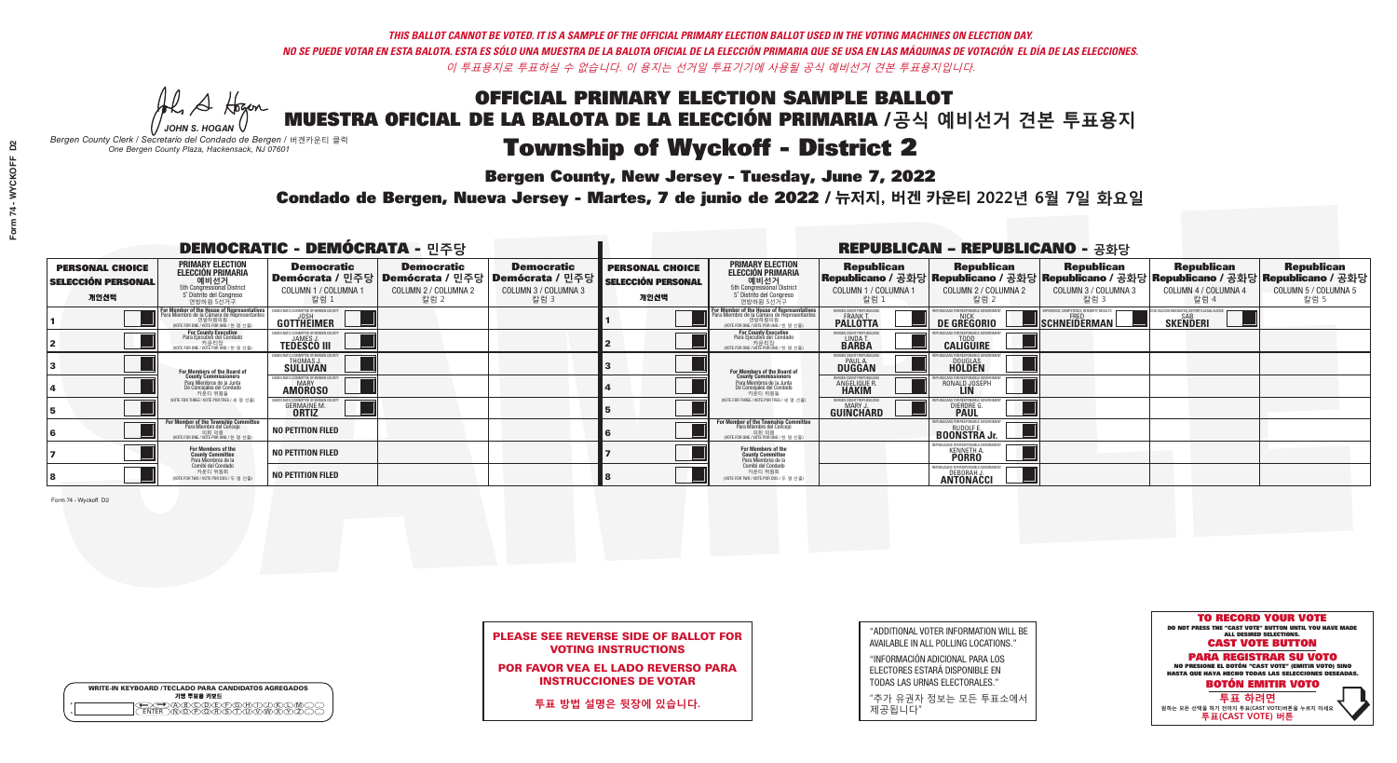Al Stogan

**Bergen County, New Jersey - Tuesday, June 7, 2022** 

|              | <b>WRITE-IN KEYBOARD /TECLADO PARA CANDIDATOS AGREGADOS</b><br>기명 투표용 키보드 |  |
|--------------|---------------------------------------------------------------------------|--|
| o<br>$\circ$ | )B)C)D)E)(F)(G)(A)(<br>᠗᠋ᡯᡯᡯ                                              |  |

*JOHN S. HOGAN Bergen County Clerk / Secretario del Condado de Bergen /* 버겐카운티 클럭 *One Bergen County Plaza, Hackensack, NJ 07601*



| <b>PLEASE SEE REVERSE SIDE OF BALLOT FOR</b> |  |
|----------------------------------------------|--|
| <b>VOTING INSTRUCTIONS</b>                   |  |

POR FAVOR VEA EL LADO REVERSO PARA INSTRUCCIONES DE VOTAR

**투표 방법 설명은 뒷장에 있습니다.**

"ADDITIONAL VOTER INFORMATION WILL BE AVAILABLE IN ALL POLLING LOCATIONS."

"INFORMACIÓN ADICIONAL PARA LOS ELECTORES ESTARÁ DISPONIBLE EN TODAS LAS URNAS ELECTORALES."

"추가 유권자 정보는 모든 투표소에서 제공됩니다"

Condado de Bergen, Nueva Jersey - Martes, 7 de junio de 2022 / 뉴저지, 버겐 카운티 2022년 6월 7일 화요일 *One Bergen County Plaza, Hackensack, NJ 07601*

| <b>DEMOCRATIC - DEMÓCRATA - 민주당</b>                         |                                                                                                                                        |                                                         |                                                                                                        |                                                   |                                                             |                                                                                                                                    | <b>REPUBLICAN - REPUBLICANO - 공화당</b>                        |                                                         |                                                   |                                                                                                                                                |                                                   |
|-------------------------------------------------------------|----------------------------------------------------------------------------------------------------------------------------------------|---------------------------------------------------------|--------------------------------------------------------------------------------------------------------|---------------------------------------------------|-------------------------------------------------------------|------------------------------------------------------------------------------------------------------------------------------------|--------------------------------------------------------------|---------------------------------------------------------|---------------------------------------------------|------------------------------------------------------------------------------------------------------------------------------------------------|---------------------------------------------------|
| <b>PERSONAL CHOICE</b><br><b>SELECCIÓN PERSONAL</b><br>개인선택 | <b>PRIMARY ELECTION</b><br><b>ELECCIÓN PRIMARIA</b><br>5th Congressional District<br>5 <sup>o</sup> Distrito del Congreso<br>연방하원 5선거구 | <b>Democratic</b><br>COLUMN 1 / COLUMNA 1<br>'칼럼 ∶      | <b>Democratic</b><br>│Demócrata / 민주당│Demócrata / 민주당│Demócrata / 민주당┃<br>COLUMN 2 / COLUMNA 2<br>칼럼 2 | <b>Democratic</b><br>COLUMN 3 / COLUMNA 3<br>칼럼 3 | <b>PERSONAL CHOICE</b><br><b>SELECCIÓN PERSONAL</b><br>개인선택 | <b>PRIMARY ELECTION</b><br><b>ELECCIÓN PRIMARIA</b><br>해비선거<br>6th Congressional District<br>5° Distrito del Congreso<br>연방하원 5선거구 | <b>Republican</b><br>COLUMN 1 / COLUMNA 1<br>칼럼 :            | <b>Republican</b><br>COLUMN 2 / COLUMNA 2<br>-칼럼 2      | <b>Republican</b><br>COLUMN 3 / COLUMNA 3<br>칼럼 3 | <b>Republican</b><br>Republicano / 공화당 Republicano / 공화당 Republicano / 공화당 Republicano / 공화당 Republicano / 공화당<br>COLUMN 4 / COLUMNA 4<br>칼럼 4 | <b>Republican</b><br>COLUMN 5 / COLUMNA 5<br>칼럼 5 |
|                                                             | For Member of the House of Representatives<br>Para Miembro de la Cámara de Representantes<br>NOTE FOR ONE / VOTE POR UNO / 한 명 선출)     | GOTTHEIMER                                              |                                                                                                        |                                                   |                                                             | For Member of the House of Representatives<br>Para Miembro de la Cámara de Representantes<br>NOTE FOR ONE / VOTE POR UNO / 한 명 선출  | BERGEN COUNTY REPUBLICANS<br>FRANK T.<br><b>PALLOTTA</b>     | DE GREGORIO                                             | SCHNEIDERMAN                                      | SKEÑDERI                                                                                                                                       |                                                   |
|                                                             | <b>For County Executive</b><br>Para Ejecutivo del Condado<br>가운티장<br>/ 카운티장<br>/ VOTE FOR ONE / VOTE POR UNO / 한 명 선출)                 | <b>TEDESCO III</b>                                      |                                                                                                        |                                                   |                                                             | For County Executive<br>Para Ejecutivo del Condado<br>가운티장<br>(VOTE FOR ONE / VOTE POR UNO / 한 명 선출                                | ERGEN COUNTY REPUBLIC<br>LINDA T.                            | <b>CALIGUIRE</b>                                        |                                                   |                                                                                                                                                |                                                   |
|                                                             | For Members of the Board of<br>County Commissioners                                                                                    | THOMAS J.                                               |                                                                                                        |                                                   |                                                             | For Members of the Board of<br>County Commissioners                                                                                | ERGEN COUNTY REPUBLICAN<br><b>PAUL A.</b><br><b>DUGGAN</b>   | <b>DOUGLAS</b><br><b>HOLDEN</b>                         |                                                   |                                                                                                                                                |                                                   |
|                                                             | Para Miembros de la Junta<br>De Concejales del Condado<br>카운티 위원들                                                                      | ATIC COMMITTEE OF BERGEN COI<br><b>AMOROSO</b>          |                                                                                                        |                                                   |                                                             | Para Miembros de la Junta<br>De Concejales del Condado<br>카운티 위원들                                                                  | RGEN COUNTY REPUBLICAL<br><b>ANGELIQUE R</b><br><b>HAKIM</b> | RONALD JOSEPH                                           |                                                   |                                                                                                                                                |                                                   |
|                                                             | NOTE FOR THREE / VOTE POR TRES / 세 명 선출                                                                                                | : COMMITTEE OF BERGEN CI<br>GERMAINE M.<br><b>ORTIZ</b> |                                                                                                        |                                                   |                                                             | NOTE FOR THREE / VOTE POR TRES / 세 명 선출                                                                                            | ERGEN COUNTY REPUBLICAN:<br>MARY J<br>GUINCHARD              | DIERDRE                                                 |                                                   |                                                                                                                                                |                                                   |
|                                                             | For Member of the Township Committee<br>Para Miembro del Conceio<br>(VOTE FOR ONE / VOTE POR UNO / 한 명 선                               | <b>NO PETITION FILED</b>                                |                                                                                                        |                                                   |                                                             | For Member of the Township Committee<br>Para Miembro del Concejo<br>(VOTE FOR ONE / VOTE POR UNO / 한 명 선출                          |                                                              | PUBI ICANS FOR RESPONSIBI E GOVI<br><b>BOONSTRA Jr.</b> |                                                   |                                                                                                                                                |                                                   |
|                                                             | For Members of the<br>County Committee<br>Para Miembros de la<br>Comité del Condado                                                    | <b>NO PETITION FILED</b>                                |                                                                                                        |                                                   |                                                             | <b>For Members of the<br/>County Committee</b><br>Para Miembros de la<br>Comité del Condado                                        |                                                              | <b>KENNETH A.</b>                                       |                                                   |                                                                                                                                                |                                                   |
|                                                             | 카운티 위원회<br>WOTE FOR TWO / VOTE POR DOS / 두 명 선출)                                                                                       | <b>NO PETITION FILED</b>                                |                                                                                                        |                                                   |                                                             | 카운티 위원회<br>WOTE FOR TWO / VOTE POR DOS / 두 명 선출)                                                                                   |                                                              | <b>DEBORAH</b><br>ANTONACCI                             |                                                   |                                                                                                                                                |                                                   |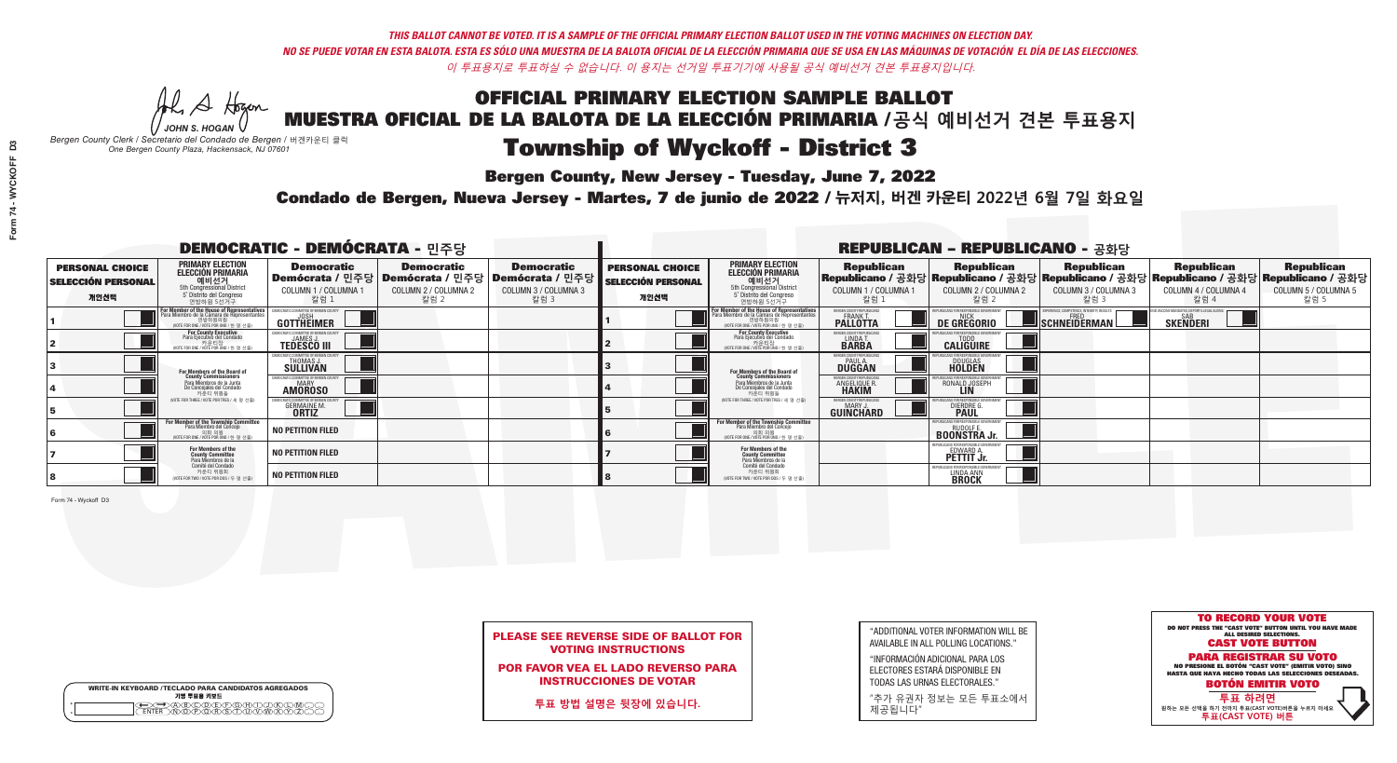Al Stogan

**Bergen County, New Jersey - Tuesday, June 7, 2022** 

|         | <b>WRITE-IN KEYBOARD /TECLADO PARA CANDIDATOS AGREGADOS</b><br>기명 투표용 키보드 |
|---------|---------------------------------------------------------------------------|
| $\circ$ | CODEXFXGXHX<br>$\sqrt{2}$                                                 |

*JOHN S. HOGAN Bergen County Clerk / Secretario del Condado de Bergen /* 버겐카운티 클럭 *One Bergen County Plaza, Hackensack, NJ 07601*



| <b>PLEASE SEE REVERSE SIDE OF BALLOT FOR</b> |
|----------------------------------------------|
| <b>VOTING INSTRUCTIONS</b>                   |

POR FAVOR VEA EL LADO REVERSO PARA INSTRUCCIONES DE VOTAR

**투표 방법 설명은 뒷장에 있습니다.**

"ADDITIONAL VOTER INFORMATION WILL BE AVAILABLE IN ALL POLLING LOCATIONS."

"INFORMACIÓN ADICIONAL PARA LOS ELECTORES ESTARÁ DISPONIBLE EN TODAS LAS URNAS ELECTORALES."

"추가 유권자 정보는 모든 투표소에서 제공됩니다"

Condado de Bergen, Nueva Jersey - Martes, 7 de junio de 2022 / 뉴저지, 버겐 카운티 2022년 6월 7일 화요일 *One Bergen County Plaza, Hackensack, NJ 07601*

|                                                             |                                                                                                                                               | <b>DEMOCRATIC - DEMÓCRATA - 민주당</b>                      |                                                   |                                                                                                            |                                                             |                                                                                                                                                 |                                                         | <b>REPUBLICAN - REPUBLICANO - 공화당</b>                           |                                                   |                                                                                                                                                |                                                   |
|-------------------------------------------------------------|-----------------------------------------------------------------------------------------------------------------------------------------------|----------------------------------------------------------|---------------------------------------------------|------------------------------------------------------------------------------------------------------------|-------------------------------------------------------------|-------------------------------------------------------------------------------------------------------------------------------------------------|---------------------------------------------------------|-----------------------------------------------------------------|---------------------------------------------------|------------------------------------------------------------------------------------------------------------------------------------------------|---------------------------------------------------|
| <b>PERSONAL CHOICE</b><br><b>SELECCIÓN PERSONAL</b><br>개인선택 | <b>PRIMARY ELECTION</b><br><b>ELECCIÓN PRIMARIA</b><br>예비선거<br><sup>5th</sup> Congressional District<br>5° Distrito del Congreso<br>연방하원 5선거구 | <b>Democratic</b><br>COLUMN 1 / COLUMNA 1<br>· 칼럼 :      | <b>Democratic</b><br>COLUMN 2 / COLUMNA 2<br>칼럼 2 | <b>Democratic</b><br>Demócrata / 민주당   Demócrata / 민주당   Demócrata / 민주당  <br>COLUMN 3 / COLUMNA 3<br>칼럼 3 | <b>PERSONAL CHOICE</b><br><b>SELECCIÓN PERSONAL</b><br>개인선택 | <b>PRIMARY ELECTION</b><br>ELECCIÓN PRIMARIA<br>예비선거<br><sub>5</sub> Distrite del Congression<br>5 Distrite del Congreso<br>연방하원 5선거구           | <b>Republican</b><br>COLUMN 1 / COLUMNA 1<br>칼럼         | <b>Republican</b><br>COLUMN 2 / COLUMNA 2<br>칼럼 2               | <b>Republican</b><br>COLUMN 3 / COLUMNA 3<br>칼럼 3 | <b>Republican</b><br>Republicano / 공화당 Republicano / 공화당 Republicano / 공화당 Republicano / 공화당 Republicano / 공화당<br>COLUMN 4 / COLUMNA 4<br>칼럼 4 | <b>Republican</b><br>COLUMN 5 / COLUMNA 5<br>칼럼 5 |
|                                                             | For Member of the House of Representatives<br>Para Miembro de la Cámara de Representantes<br>WOTE FOR ONE / VOTE POR UNO / 하 명 선축)            | GOTTHEIMER                                               |                                                   |                                                                                                            |                                                             | F <mark>or Member of the House of Representatives</mark><br>Para Miembro de la Cámara de Representantes<br>NOTE FOR ONE / VOTE POR UNO / 하 명 서축 | BERGEN COUNTY REPUBLICAN<br><b>PALLOTTA</b>             | DE GREGORIO                                                     | SCHNEIDERMAN                                      | <b>SKENDERI</b>                                                                                                                                |                                                   |
|                                                             | For County Executive<br>Para Ejecutivo del Condado<br>. 카운티장<br>(VOTE FOR ONE / VOTE POR UNO / 한 명 선출)                                        | <b>TEDESCO III</b>                                       |                                                   |                                                                                                            |                                                             | For County Executive<br>Para Ejecutivo del Condado<br>7 카운티장<br>(VOTE FOR ONE / VOTE POR UNO / 한 명 선출)                                          | ERGEN COUNTY REPUBLICAL<br>LINDA T.                     | <b>CALIGUIRE</b>                                                |                                                   |                                                                                                                                                |                                                   |
|                                                             | For Members of the Board of<br>County Commissioners                                                                                           | THOMAS J.                                                |                                                   |                                                                                                            |                                                             | <b>For Members of the Board of County Commissioners</b>                                                                                         | ERGEN COUNTY REPUBLICAN<br><b>DUGGAN</b>                | DOUGLAS<br><b>HOLDEN</b>                                        |                                                   |                                                                                                                                                |                                                   |
|                                                             | Para Miembros de la Junta<br>De Concejales del Condado<br>카운티 위원들                                                                             | RATIC COMMITTEE OF RERGEN COLL<br>MARY<br><b>AMOROSO</b> |                                                   |                                                                                                            |                                                             | Para Miembros de la Junta<br>De Concejales del Condado<br>카운티 위원들                                                                               | FRGEN COUNTY REPUBLICAL<br><b>ANGELIQUE R<br/>HAKIM</b> | RONALD JOSEPH                                                   |                                                   |                                                                                                                                                |                                                   |
|                                                             | NOTE FOR THREE / VOTE POR TRES / 세 명 선출)                                                                                                      | GERMAINE M<br><b>ORTIZ</b>                               |                                                   |                                                                                                            |                                                             | NOTE FOR THREE / VOTE POR TRES / 세 명 선출                                                                                                         | ERGEN COUNTY REPUBLICANS<br>MARY.<br>GUINCHARD          | <b>DIERDRE</b>                                                  |                                                   |                                                                                                                                                |                                                   |
|                                                             | For Member of the Township Committee<br>Para Miembro del Concejo<br>WOTE FOR ONE / VOTE POR UNO / 한 명 선원                                      | <b>NO PETITION FILED</b>                                 |                                                   |                                                                                                            |                                                             | For Member of the Township Committee<br>Para Miembro del Concejo<br>(VOTE FOR ONE / VOTE POR UNO / 한 명 선렬                                       |                                                         | FPUBLICANS FOR RESPONSIBLE GOVERNMEN<br><b>BOONSTRAJr.</b>      |                                                   |                                                                                                                                                |                                                   |
|                                                             | For Members of the<br>County Committee<br>Para Miembros de la<br>Comité del Condado                                                           | <b>NO PETITION FILED</b>                                 |                                                   |                                                                                                            |                                                             | For Members of the<br>County Committee<br>Para Miembros de la<br>Comité del Condado                                                             |                                                         | EDWARD A.                                                       |                                                   |                                                                                                                                                |                                                   |
|                                                             | 카운티 위원회<br>NOTE FOR TWO / VOTE POR DOS / 두 명 선출)                                                                                              | <b>NO PETITION FILED</b>                                 |                                                   |                                                                                                            |                                                             | 카운티 위원회<br>NOTE FOR TWO / VOTE POR DOS / 두 명 선출)                                                                                                |                                                         | PUBLICANS FOR RESPONSIBLE (<br><b>LINDA ANN</b><br><b>BROCK</b> |                                                   |                                                                                                                                                |                                                   |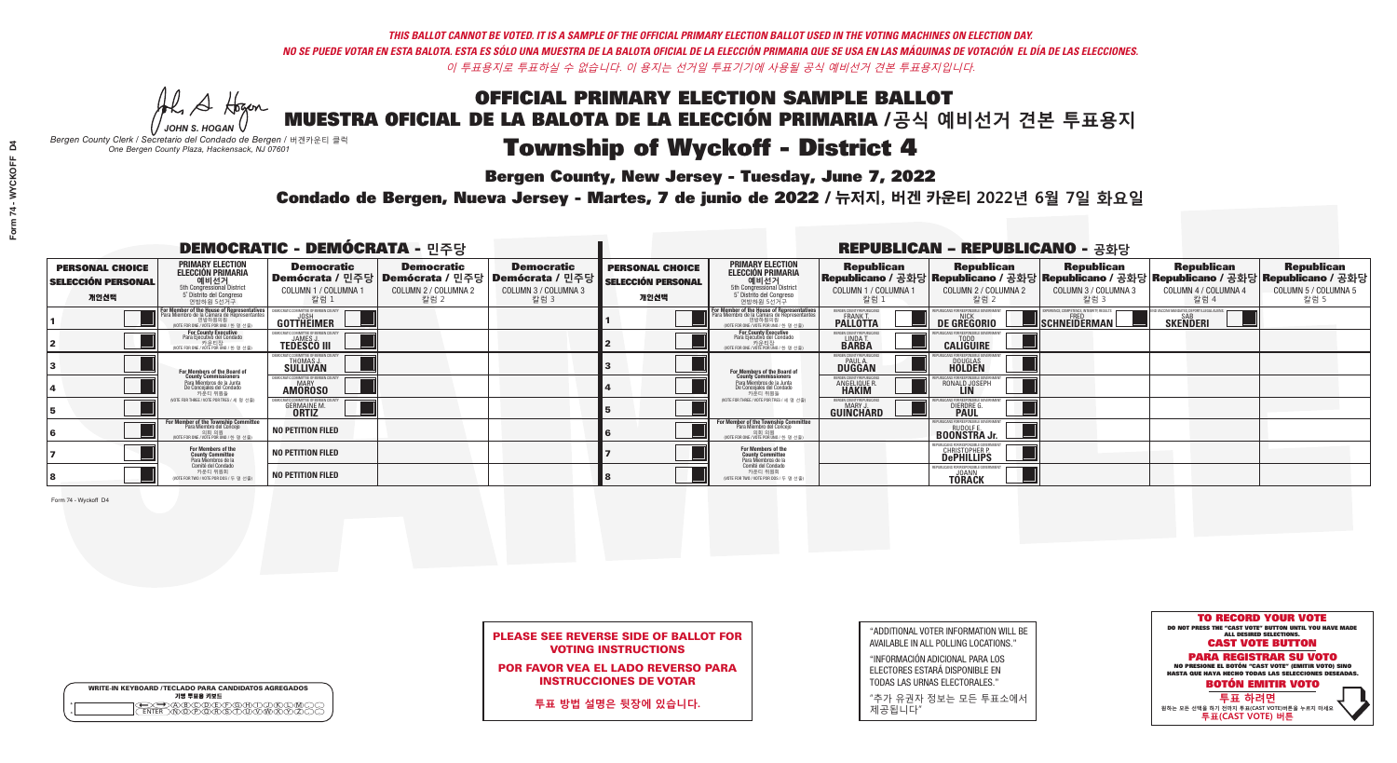Al Stogan

**Bergen County, New Jersey - Tuesday, June 7, 2022** 

|                       | <b>WRITE-IN KEYBOARD /TECLADO PARA CANDIDATOS AGREGADOS</b><br>기명 투표용 키보드 |  |
|-----------------------|---------------------------------------------------------------------------|--|
| $^{\circ}$<br>$\circ$ |                                                                           |  |

*JOHN S. HOGAN Bergen County Clerk / Secretario del Condado de Bergen /* 버겐카운티 클럭 *One Bergen County Plaza, Hackensack, NJ 07601*



| <b>PLEASE SEE REVERSE SIDE OF BALLOT FOR</b> |
|----------------------------------------------|
| <b>VOTING INSTRUCTIONS</b>                   |

POR FAVOR VEA EL LADO REVERSO PARA INSTRUCCIONES DE VOTAR

**투표 방법 설명은 뒷장에 있습니다.**

| "ADDITIONAL VOTER INFORMATION WILL BE |
|---------------------------------------|
| AVAILABLE IN ALL POLLING LOCATIONS."  |

"INFORMACIÓN ADICIONAL PARA LOS ELECTORES ESTARÁ DISPONIBLE EN TODAS LAS URNAS ELECTORALES."

"추가 유권자 정보는 모든 투표소에서 제공됩니다"

Condado de Bergen, Nueva Jersey - Martes, 7 de junio de 2022 / 뉴저지, 버겐 카운티 2022년 6월 7일 화요일 *One Bergen County Plaza, Hackensack, NJ 07601*

| <b>DEMOCRATIC - DEMÓCRATA - 민주당</b>                         |                                                                                                                                               |                                                          |                                                   |                                                                                                            |                                                             |                                                                                                                                                 |                                                         | <b>REPUBLICAN - REPUBLICANO - 공화당</b>                            |                                                   |                                                                                                                                                |                                                   |
|-------------------------------------------------------------|-----------------------------------------------------------------------------------------------------------------------------------------------|----------------------------------------------------------|---------------------------------------------------|------------------------------------------------------------------------------------------------------------|-------------------------------------------------------------|-------------------------------------------------------------------------------------------------------------------------------------------------|---------------------------------------------------------|------------------------------------------------------------------|---------------------------------------------------|------------------------------------------------------------------------------------------------------------------------------------------------|---------------------------------------------------|
| <b>PERSONAL CHOICE</b><br><b>SELECCIÓN PERSONAL</b><br>개인선택 | <b>PRIMARY ELECTION</b><br><b>ELECCIÓN PRIMARIA</b><br>예비선거<br><sup>5th</sup> Congressional District<br>5° Distrito del Congreso<br>연방하원 5선거구 | <b>Democratic</b><br>COLUMN 1 / COLUMNA 1<br>· 칼럼 :      | <b>Democratic</b><br>COLUMN 2 / COLUMNA 2<br>칼럼 2 | <b>Democratic</b><br>Demócrata / 민주당   Demócrata / 민주당   Demócrata / 민주당  <br>COLUMN 3 / COLUMNA 3<br>칼럼 3 | <b>PERSONAL CHOICE</b><br><b>SELECCIÓN PERSONAL</b><br>개인선택 | <b>PRIMARY ELECTION</b><br>ELECCIÓN PRIMARIA<br>예비선거<br><sub>5</sub> Distrite del Congression<br>5 Distrite del Congreso<br>연방하원 5선거구           | <b>Republican</b><br>COLUMN 1 / COLUMNA 1<br>칼럼         | <b>Republican</b><br>COLUMN 2 / COLUMNA 2<br>칼럼 2                | <b>Republican</b><br>COLUMN 3 / COLUMNA 3<br>칼럼 3 | <b>Republican</b><br>Republicano / 공화당 Republicano / 공화당 Republicano / 공화당 Republicano / 공화당 Republicano / 공화당<br>COLUMN 4 / COLUMNA 4<br>칼럼 4 | <b>Republican</b><br>COLUMN 5 / COLUMNA 5<br>칼럼 5 |
|                                                             | For Member of the House of Representatives<br>Para Miembro de la Cámara de Representantes<br>WOTE FOR ONE / VOTE POR UNO / 하 명 선축)            | GOTTHEIMER                                               |                                                   |                                                                                                            |                                                             | F <mark>or Member of the House of Representatives</mark><br>Para Miembro de la Cámara de Representantes<br>WOTE FOR ONE / VOTE POR UNO / 하 명 선축 | BERGEN COUNTY REPUBLICAN<br><b>PALLOTTA</b>             | DE GREGORIO                                                      | SCHNEIDERMAN                                      | <b>SKENDERI</b>                                                                                                                                |                                                   |
|                                                             | For County Executive<br>Para Ejecutivo del Condado<br>. 카운티장<br>(VOTE FOR ONE / VOTE POR UNO / 한 명 선출)                                        | <b>TEDESCO III</b>                                       |                                                   |                                                                                                            |                                                             | For County Executive<br>Para Ejecutivo del Condado<br>7 카운티장<br>(VOTE FOR ONE / VOTE POR UNO / 한 명 선출)                                          | ERGEN COUNTY REPUBLICAL<br>LINDA T.                     | <b>CALIGUIRE</b>                                                 |                                                   |                                                                                                                                                |                                                   |
|                                                             | For Members of the Board of<br>County Commissioners                                                                                           | THOMAS J.                                                |                                                   |                                                                                                            |                                                             | <b>For Members of the Board of County Commissioners</b>                                                                                         | ERGEN COUNTY REPUBLICAN<br><b>DUGGAN</b>                | DOUGLAS<br><b>HOLDEN</b>                                         |                                                   |                                                                                                                                                |                                                   |
|                                                             | Para Miembros de la Junta<br>De Concejales del Condado<br>카운티 위원들                                                                             | RATIC COMMITTEE OF RERGEN COLL<br>MARY<br><b>AMOROSO</b> |                                                   |                                                                                                            |                                                             | Para Miembros de la Junta<br>De Concejales del Condado<br>카운티 위원들                                                                               | FRGEN COUNTY REPUBLICAL<br><b>ANGELIQUE R<br/>HAKIM</b> | RONALD JOSEPH                                                    |                                                   |                                                                                                                                                |                                                   |
|                                                             | NOTE FOR THREE / VOTE POR TRES / 세 명 선출)                                                                                                      | GERMAINE M<br><b>ORTIZ</b>                               |                                                   |                                                                                                            |                                                             | NOTE FOR THREE / VOTE POR TRES / 세 명 선출                                                                                                         | ERGEN COUNTY REPUBLICANS<br>MARY.<br>GUINCHARD          | <b>DIERDRE</b>                                                   |                                                   |                                                                                                                                                |                                                   |
|                                                             | For Member of the Township Committee<br>Para Miembro del Concejo<br>WOTE FOR ONE / VOTE POR UNO / 한 명 선원                                      | <b>NO PETITION FILED</b>                                 |                                                   |                                                                                                            |                                                             | For Member of the Township Committee<br>Para Miembro del Concejo<br>(VOTE FOR ONE / VOTE POR UNO / 한 명 선렬                                       |                                                         | FPUBLICANS FOR RESPONSIBLE GOVERNMEN<br><b>BOONSTRA Jr.</b>      |                                                   |                                                                                                                                                |                                                   |
|                                                             | For Members of the<br>County Committee<br>Para Miembros de la<br>Comité del Condado                                                           | <b>NO PETITION FILED</b>                                 |                                                   |                                                                                                            |                                                             | For Members of the<br>County Committee<br>Para Miembros de la<br>Comité del Condado                                                             |                                                         | <b>CHRISTOPHER P.</b><br><b>DePHILLIPS</b>                       |                                                   |                                                                                                                                                |                                                   |
|                                                             | 카운티 위원회<br>NOTE FOR TWO / VOTE POR DOS / 두 명 선출)                                                                                              | <b>NO PETITION FILED</b>                                 |                                                   |                                                                                                            |                                                             | 카운티 위원회<br>NOTE FOR TWO / VOTE POR DOS / 두 명 선출)                                                                                                |                                                         | (FPURI ICANS FOR RESPONSIBLE GO<br><b>JOANN</b><br><b>TÖRACK</b> |                                                   |                                                                                                                                                |                                                   |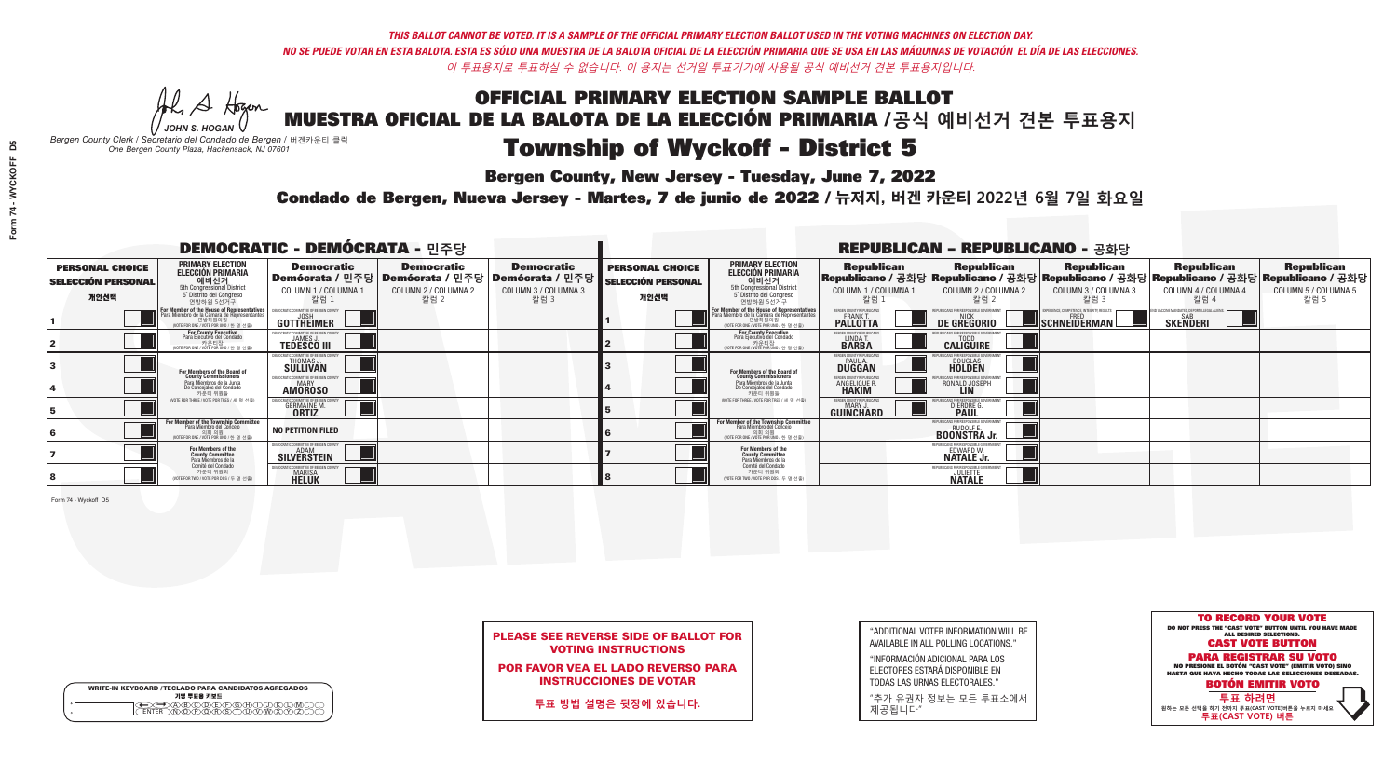Al Stogan

**Bergen County, New Jersey - Tuesday, June 7, 2022** 

| <b>WRITE-IN KEYBOARD /TECLADO PARA CANDIDATOS AGREGADOS</b><br>기명 투표용 키보드 |
|---------------------------------------------------------------------------|
|                                                                           |

*JOHN S. HOGAN Bergen County Clerk / Secretario del Condado de Bergen /* 버겐카운티 클럭 *One Bergen County Plaza, Hackensack, NJ 07601*

Condado de Bergen, Nueva Jersey - Martes, 7 de junio de 2022 / 뉴저지, 버겐 카운티 2022년 6월 7일 화요일 *One Bergen County Plaza, Hackensack, NJ 07601*



| <b>PLEASE SEE REVERSE SIDE OF BALLOT FOR</b> |
|----------------------------------------------|
| <b>VOTING INSTRUCTIONS</b>                   |

POR FAVOR VEA EL LADO REVERSO PARA INSTRUCCIONES DE VOTAR

**투표 방법 설명은 뒷장에 있습니다.**

"ADDITIONAL VOTER INFORMATION WILL BE AVAILABLE IN ALL POLLING LOCATIONS."

"INFORMACIÓN ADICIONAL PARA LOS ELECTORES ESTARÁ DISPONIBLE EN TODAS LAS URNAS ELECTORALES."

"추가 유권자 정보는 모든 투표소에서 제공됩니다"

| <b>DEMOCRATIC - DEMÓCRATA - 민주당</b>                         |                                                                                                                                               |                                                                   |                                                   |                                                                                                      | <b>REPUBLICAN - REPUBLICANO - 공화당</b>                       |                                                                                                                                           |                                                                      |                                                                 |                                                   |                                                                                                                                                |                                                   |  |
|-------------------------------------------------------------|-----------------------------------------------------------------------------------------------------------------------------------------------|-------------------------------------------------------------------|---------------------------------------------------|------------------------------------------------------------------------------------------------------|-------------------------------------------------------------|-------------------------------------------------------------------------------------------------------------------------------------------|----------------------------------------------------------------------|-----------------------------------------------------------------|---------------------------------------------------|------------------------------------------------------------------------------------------------------------------------------------------------|---------------------------------------------------|--|
| <b>PERSONAL CHOICE</b><br><b>SELECCIÓN PERSONAL</b><br>개인선택 | <b>PRIMARY ELECTION</b><br><b>ELECCIÓN PRIMARIA</b><br>예비선거<br><sup>5th</sup> Congressional District<br>5° Distrito del Congreso<br>연방하원 5선거구 | <b>Democratic</b><br>COLUMN 1 / COLUMNA 1<br>칼럼 1                 | <b>Democratic</b><br>COLUMN 2 / COLUMNA 2<br>칼럼 2 | <b>Democratic</b><br>Demócrata / 민주당 Demócrata / 민주당 Demócrata / 민주당<br>COLUMN 3 / COLUMNA 3<br>칼럼 3 | <b>PERSONAL CHOICE</b><br><b>SELECCIÓN PERSONAL</b><br>개인선택 | <b>PRIMARY ELECTION</b><br>ELECCIÓN PRIMARIA<br>에비선거<br><sub>5</sub> Distrite del Congression<br>5 Distrite del Congreso<br>연방하원 5선거구     | <b>Republican</b><br>COLUMN 1 / COLUMNA 1<br>칼럼                      | <b>Republican</b><br>COLUMN 2 / COLUMNA 2<br>·칼럼 2              | <b>Republican</b><br>COLUMN 3 / COLUMNA 3<br>칼럼 3 | <b>Republican</b><br>Republicano / 공화당 Republicano / 공화당 Republicano / 공화당 Republicano / 공화당 Republicano / 공화당<br>COLUMN 4 / COLUMNA 4<br>칼럼 4 | <b>Republican</b><br>COLUMN 5 / COLUMNA 5<br>칼럼 5 |  |
|                                                             | <b>For Member of the House of Representatives</b><br>Para Miembro de la Cámara de Representantes<br>NOTE FOR ONE / VOTE POR UNO / 한 명 선출)     | GOTTHËIMER                                                        |                                                   |                                                                                                      |                                                             | F <b>or Member of the House of Representatives</b><br>Para Miembro de la Cámara de Representantes<br>WOTE FOR ONE / VOTE POR UNO / 한 명 선출 | <b>ERGEN COUNTY REPUBLICAN</b><br><b>FRANK T.</b><br><b>PALLOTTA</b> | DE GREGORIO                                                     | SCHNEIDERMAN                                      | <b>SAB</b><br><b>SKENDERI</b>                                                                                                                  |                                                   |  |
|                                                             | For County Executive<br>Para Ejecutivo del Condado<br>WOTE FOR ONE / VOTE POR UNO / 한 명 선출)                                                   | <b>TEDESCO III</b>                                                |                                                   |                                                                                                      |                                                             | For County Executive<br>Para Ejecutivo del Condado<br>WOTE FOR ONE / VOTE POR UNO / 한 명 선결                                                | <b>FRGEN COUNTY REPUBLICAN</b><br>LINDA T.                           | <b>CALIGUIRE</b>                                                |                                                   |                                                                                                                                                |                                                   |  |
|                                                             | <b>For Members of the Board of<br/>County Commissioners</b>                                                                                   | THOMAS J.                                                         |                                                   |                                                                                                      |                                                             | <b>For Members of the Board of County Commissioners</b>                                                                                   | ERGEN COUNTY REPUBLICAL<br><b>PAUL A.</b><br><b>DUGGAN</b>           | DOUGLAS<br><b>HOLDEN</b>                                        |                                                   |                                                                                                                                                |                                                   |  |
|                                                             | Para Miembros de la Junta<br>De Concejales del Condado<br>카우티 위원들                                                                             | IOCRATIC COMMITTEE OF BEBGEN COUN<br><b>AMOROSO</b>               |                                                   |                                                                                                      |                                                             | Para Miembros de la Junta<br>De Concejales del Condado<br>카운티 위원들                                                                         | FRGEN COUNTY REPUBLICAL<br><b>ANGELIQUE R<br/>HAKIM</b>              | RONALD JOSEPH                                                   |                                                   |                                                                                                                                                |                                                   |  |
|                                                             | NOTE FOR THREE / VOTE POR TRES / 세 명 선출)                                                                                                      | GERMAINE M<br><b>ORTIZ</b>                                        |                                                   |                                                                                                      |                                                             | NOTE FOR THREE / VOTE POR TRES / 세 명 선출                                                                                                   | ERGEN COUNTY REPUBLICANS<br>MARY.<br><b>GUINCHARD</b>                | DIERDRE                                                         |                                                   |                                                                                                                                                |                                                   |  |
|                                                             | For Member of the Township Committee<br>Para Miembro del Concejo<br>(VOTE FOR ONE / VOTE POR UNO / 한 명 선출                                     | <b>NO PETITION FILED</b>                                          |                                                   |                                                                                                      |                                                             | For Member of the Township Committee<br>Para Miembro del Concejo<br>의회 의원<br>(VOTE FOR ONE / VOTE POR UNO / 한 명 선출                        |                                                                      | PUBLICANS FOR RESPONSIBLE GO'<br><b>BOONSTRAJr.</b>             |                                                   |                                                                                                                                                |                                                   |  |
|                                                             | For Members of the<br>County Committee<br>Para Miembros de la<br>Comité del Condado                                                           | MOCRATIC COMMITTEE OF BERGEN COUNTY<br>ADAM<br><b>SILVERSTEIN</b> |                                                   |                                                                                                      |                                                             | For Members of the<br>County Committee<br>Para Miembros de la<br>Comité del Condado                                                       |                                                                      | PUBLICANS FOR RESPONSIBLE GOV<br>EDWARD W.<br><b>NATALE Jr.</b> |                                                   |                                                                                                                                                |                                                   |  |
|                                                             | 카운티 위원회<br>NOTE FOR TWO / VOTE POR DOS / 두 명 선출)                                                                                              | <b>MARISA</b><br>HELUK                                            |                                                   |                                                                                                      |                                                             | 카운티 위원회<br>NOTE FOR TWO / VOTE POR DOS / 두 명 선출)                                                                                          |                                                                      | FPURI ICANS FOR RESPONSIBLE (<br><b>JULIETTE</b>                |                                                   |                                                                                                                                                |                                                   |  |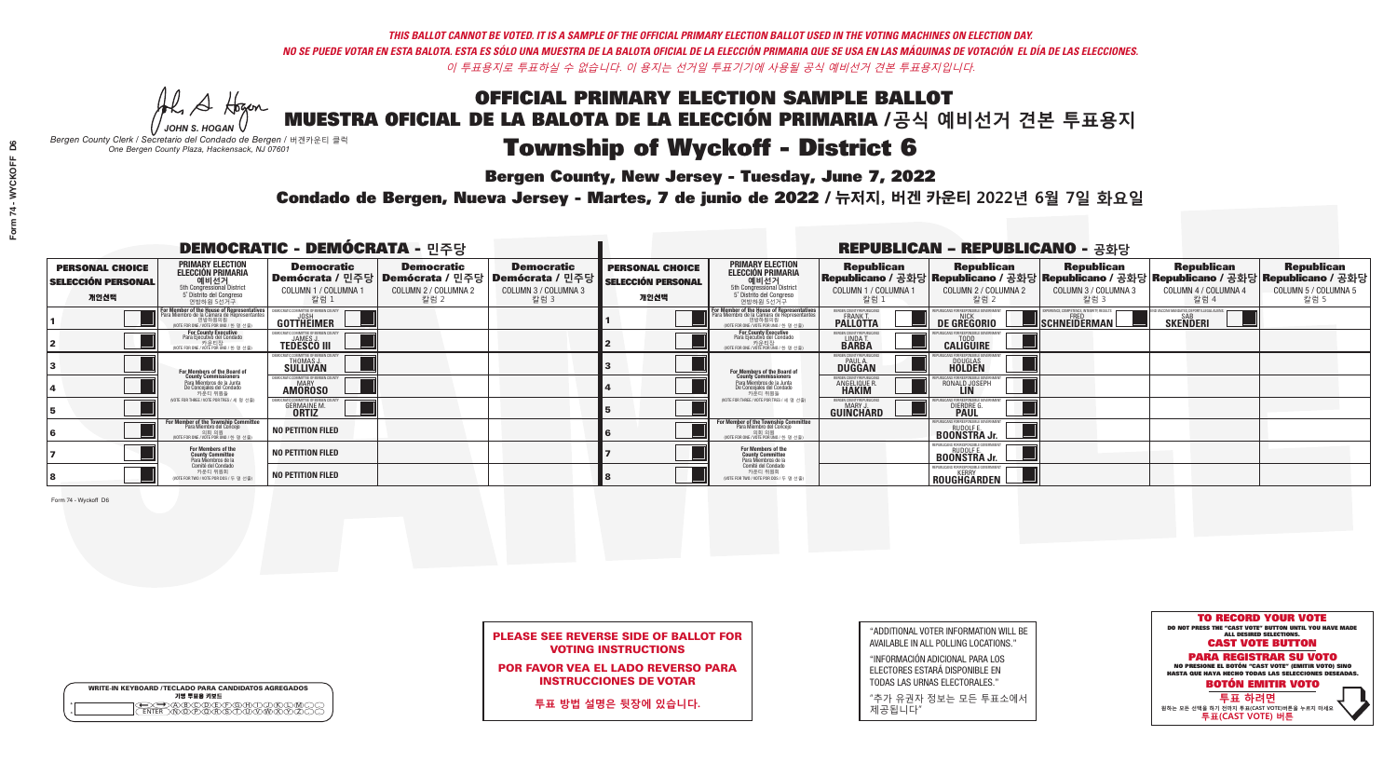Al Stogan

**Bergen County, New Jersey - Tuesday, June 7, 2022** 

|                    | <b>WRITE-IN KEYBOARD /TECLADO PARA CANDIDATOS AGREGADOS</b><br>기명 투표용 키보드 |
|--------------------|---------------------------------------------------------------------------|
| $\circ$<br>$\circ$ |                                                                           |

*JOHN S. HOGAN Bergen County Clerk / Secretario del Condado de Bergen /* 버겐카운티 클럭 *One Bergen County Plaza, Hackensack, NJ 07601*



| <b>PLEASE SEE REVERSE SIDE OF BALLOT FOR</b> |
|----------------------------------------------|
| <b>VOTING INSTRUCTIONS</b>                   |

POR FAVOR VEA EL LADO REVERSO PARA INSTRUCCIONES DE VOTAR

**투표 방법 설명은 뒷장에 있습니다.**

"ADDITIONAL VOTER INFORMATION WILL BE AVAILABLE IN ALL POLLING LOCATIONS."

"INFORMACIÓN ADICIONAL PARA LOS ELECTORES ESTARÁ DISPONIBLE EN TODAS LAS URNAS ELECTORALES."

"추가 유권자 정보는 모든 투표소에서 제공됩니다"

Condado de Bergen, Nueva Jersey - Martes, 7 de junio de 2022 / 뉴저지, 버겐 카운티 2022년 6월 7일 화요일 *One Bergen County Plaza, Hackensack, NJ 07601*

| <b>DEMOCRATIC - DEMÓCRATA - 민주당</b>                         |                                                                                                                                                      |                                                     |                                                   |                                                                                                      | <b>REPUBLICAN - REPUBLICANO - 공화당</b>                       |                                                                                                                                           |                                                               |                                                                              |                                                   |                                                                                                                                                |                                                   |  |
|-------------------------------------------------------------|------------------------------------------------------------------------------------------------------------------------------------------------------|-----------------------------------------------------|---------------------------------------------------|------------------------------------------------------------------------------------------------------|-------------------------------------------------------------|-------------------------------------------------------------------------------------------------------------------------------------------|---------------------------------------------------------------|------------------------------------------------------------------------------|---------------------------------------------------|------------------------------------------------------------------------------------------------------------------------------------------------|---------------------------------------------------|--|
| <b>PERSONAL CHOICE</b><br><b>SELECCIÓN PERSONAL</b><br>개인선택 | PRIMARY ELECTION<br><b>ELECCIÓN PRIMARIA</b><br>예비선거<br><sup>5th</sup> Congressional District<br>5° Distrito del Congreso<br>연방하원 5선거구               | <b>Democratic</b><br>COLUMN 1 / COLUMNA 1<br>칼럼 1   | <b>Democratic</b><br>COLUMN 2 / COLUMNA 2<br>칼럼 2 | <b>Democratic</b><br>Demócrata / 민주당 Demócrata / 민주당 Demócrata / 민주당<br>COLUMN 3 / COLUMNA 3<br>칼럼 3 | <b>PERSONAL CHOICE</b><br><b>SELECCIÓN PERSONAL</b><br>개인선택 | <b>PRIMARY ELECTION</b><br>ELECCIÓN PRIMARIA<br>에비선거<br><sub>5</sub> Distrite del Congression<br>5 Distrite del Congreso<br>연방하원 5선거구     | <b>Republican</b><br>COLUMN 1 / COLUMNA 1<br>칼럼               | <b>Republican</b><br>COLUMN 2 / COLUMNA 2<br>·칼럼 2                           | <b>Republican</b><br>COLUMN 3 / COLUMNA 3<br>칼럼 3 | <b>Republican</b><br>Republicano / 공화당 Republicano / 공화당 Republicano / 공화당 Republicano / 공화당 Republicano / 공화당<br>COLUMN 4 / COLUMNA 4<br>칼럼 4 | <b>Republican</b><br>COLUMN 5 / COLUMNA 5<br>칼럼 5 |  |
|                                                             | <b>For Member of the House of Representatives</b><br>Para Miembro de la Cámara de Representantes<br>연방하원의원<br>(VOTE FOR ONE / VOTE POR UNO / 한 명 선출) | GOTTHËIMER                                          |                                                   |                                                                                                      |                                                             | F <b>or Member of the House of Representatives</b><br>Para Miembro de la Cámara de Representantes<br>WOTE FOR ONE / VOTE POR UNO / 한 명 선출 | <b>ERGEN COUNTY REPUBLICAN</b><br>FRANK T.<br><b>PALLOTTA</b> | DE GREGORIO                                                                  | SCHNEIDERMAN                                      | <b>SAB</b><br><b>SKENDERI</b>                                                                                                                  |                                                   |  |
|                                                             | For County Executive<br>Para Ejecutivo del Condado<br>WOTE FOR ONE / VOTE POR UNO / 한 명 선출)                                                          | <b>TEDESCO III</b>                                  |                                                   |                                                                                                      |                                                             | For County Executive<br>Para Ejecutivo del Condado<br>WOTE FOR ONE / VOTE POR UNO / 한 명 선렬                                                | <b>FRGEN COUNTY REPUBLICAN</b><br>LINDA T.                    | <b>CALIGUIRE</b>                                                             |                                                   |                                                                                                                                                |                                                   |  |
|                                                             | <b>For Members of the Board of<br/>County Commissioners</b>                                                                                          | THOMAS J.                                           |                                                   |                                                                                                      |                                                             | <b>For Members of the Board of County Commissioners</b>                                                                                   | ERGEN COUNTY REPUBLICAN<br><b>PAUL A.</b><br><b>DUGGAN</b>    | <b>DOUGLAS</b><br><b>HOLDEN</b>                                              |                                                   |                                                                                                                                                |                                                   |  |
|                                                             | Para Miembros de la Junta<br>De Concejales del Condado<br>카우티 위원들                                                                                    | IOCRATIC COMMITTEE OF BEBGEN COUN<br><b>AMOROSO</b> |                                                   |                                                                                                      |                                                             | Para Miembros de la Junta<br>De Concejales del Condado<br>카운티 위원들                                                                         | FRGEN COUNTY REPUBLICAL<br><b>ANGELIQUE R<br/>HAKIM</b>       | RONALD JOSEPH                                                                |                                                   |                                                                                                                                                |                                                   |  |
|                                                             | NOTE FOR THREE / VOTE POR TRES / 세 명 선출)                                                                                                             | GERMAINE M<br><b>ORTIZ</b>                          |                                                   |                                                                                                      |                                                             | NOTE FOR THREE / VOTE POR TRES / 세 명 선출                                                                                                   | ERGEN COUNTY REPUBLICANS<br><b>GUINCHARD</b>                  | DIERDRE                                                                      |                                                   |                                                                                                                                                |                                                   |  |
|                                                             | For Member of the Township Committee<br>Para Miembro del Concejo<br>(VOTE FOR ONE / VOTE POR UNO / 한 명 선령                                            | <b>NO PETITION FILED</b>                            |                                                   |                                                                                                      |                                                             | For Member of the Township Committee<br>Para Miembro del Concejo<br>(VOTE FOR ONE / VOTE POR UNO / 한 명 선출                                 |                                                               | PUBLICANS FOR RESPONSIBLE GO'<br><b>BOONSTRAJr.</b>                          |                                                   |                                                                                                                                                |                                                   |  |
|                                                             | For Members of the<br>County Committee<br>Para Miembros de la<br>Comité del Condado                                                                  | <b>NO PETITION FILED</b>                            |                                                   |                                                                                                      |                                                             | For Members of the<br>County Committee<br>Para Miembros de la<br>Comité del Condado                                                       |                                                               | RUDOLF E.<br><b>BOONSTRA Jr.</b>                                             |                                                   |                                                                                                                                                |                                                   |  |
|                                                             | 카운티 위원회<br>NOTE FOR TWO / VOTE POR DOS / 두 명 선출)                                                                                                     | <b>NO PETITION FILED</b>                            |                                                   |                                                                                                      |                                                             | 카운티 위원회<br>NOTE FOR TWO / VOTE POR DOS / 두 명 선출)                                                                                          |                                                               | REPUBLICANS FOR RESPONSIBLE GOVERNMENT<br><b>KFRRY</b><br><b>ROUGHGARDEN</b> |                                                   |                                                                                                                                                |                                                   |  |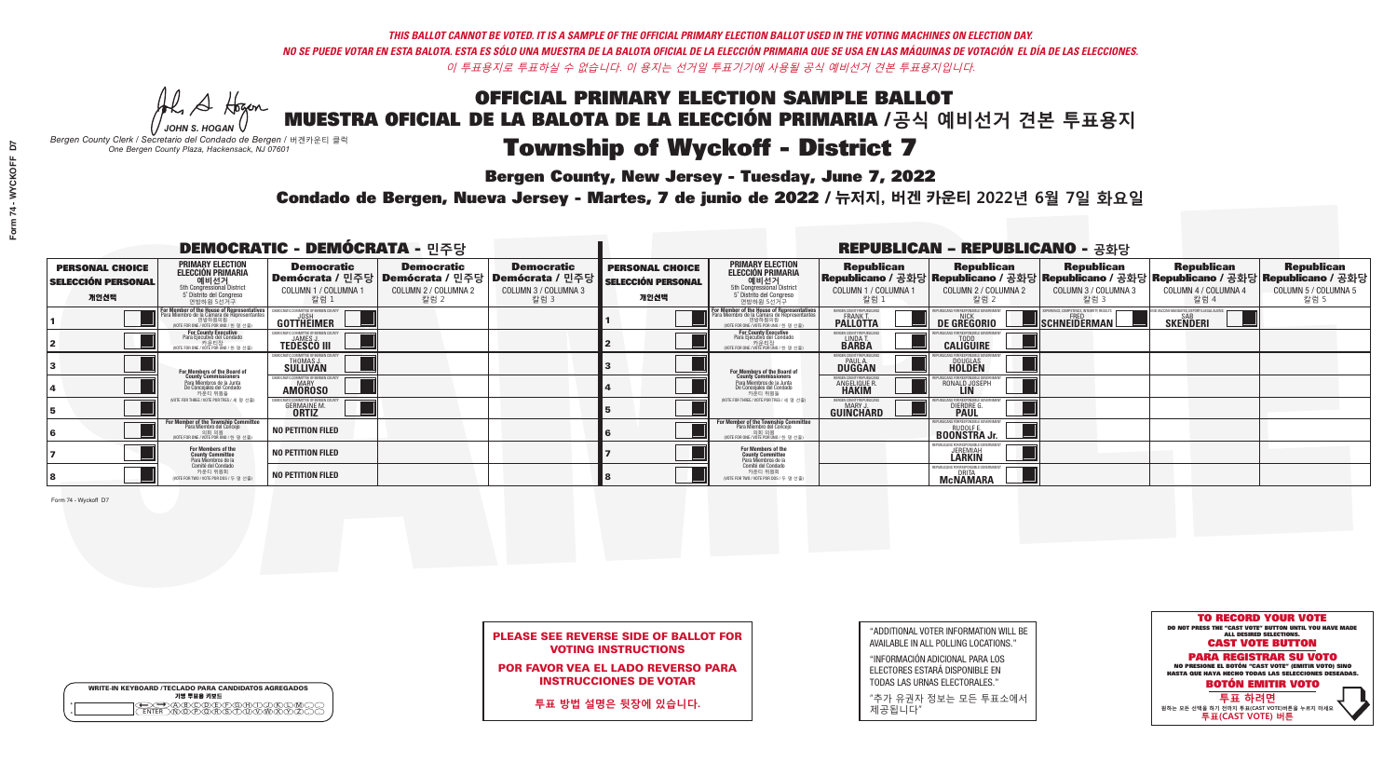Al A Hogan

**Bergen County, New Jersey - Tuesday, June 7, 2022** 

|              | <b>WRITE-IN KEYBOARD /TECLADO PARA CANDIDATOS AGREGADOS</b><br>기명 투표용 키보드 |  |
|--------------|---------------------------------------------------------------------------|--|
| ٥<br>$\circ$ | ৲ৡৣ৻ঽৣৼৣৣ৾৾৻ৢ                                                             |  |

*JOHN S. HOGAN Bergen County Clerk / Secretario del Condado de Bergen /* 버겐카운티 클럭 *One Bergen County Plaza, Hackensack, NJ 07601*



| <b>PLEASE SEE REVERSE SIDE OF BALLOT FOR</b> |  |
|----------------------------------------------|--|
| <b>VOTING INSTRUCTIONS</b>                   |  |

POR FAVOR VEA EL LADO REVERSO PARA INSTRUCCIONES DE VOTAR

**투표 방법 설명은 뒷장에 있습니다.**

| "ADDITIONAL VOTER INFORMATION WILL BE |
|---------------------------------------|
| AVAILABLE IN ALL POLLING LOCATIONS."  |

"INFORMACIÓN ADICIONAL PARA LOS ELECTORES ESTARÁ DISPONIBLE EN TODAS LAS URNAS ELECTORALES."

"추가 유권자 정보는 모든 투표소에서 제공됩니다"

Condado de Bergen, Nueva Jersey - Martes, 7 de junio de 2022 / 뉴저지, 버겐 카운티 2022년 6월 7일 화요일 *One Bergen County Plaza, Hackensack, NJ 07601*

|                                                             |                                                                                                                                        | <b>DEMOCRATIC - DEMÓCRATA - 민주당</b>                      |                                                   |                                                                                                            |                                                             |                                                                                                                                                 |                                                         | <b>REPUBLICAN - REPUBLICANO - 공화당</b>                  |                                                   |                                                                                                                                                |                                                   |
|-------------------------------------------------------------|----------------------------------------------------------------------------------------------------------------------------------------|----------------------------------------------------------|---------------------------------------------------|------------------------------------------------------------------------------------------------------------|-------------------------------------------------------------|-------------------------------------------------------------------------------------------------------------------------------------------------|---------------------------------------------------------|--------------------------------------------------------|---------------------------------------------------|------------------------------------------------------------------------------------------------------------------------------------------------|---------------------------------------------------|
| <b>PERSONAL CHOICE</b><br><b>SELECCIÓN PERSONAL</b><br>개인선택 | PRIMARY ELECTION<br><b>ELECCIÓN PRIMARIA</b><br>예비선거<br><sup>5th</sup> Congressional District<br>5° Distrito del Congreso<br>연방하원 5선거구 | <b>Democratic</b><br>COLUMN 1 / COLUMNA 1<br>· 칼럼 :      | <b>Democratic</b><br>COLUMN 2 / COLUMNA 2<br>칼럼 2 | <b>Democratic</b><br>Demócrata / 민주당   Demócrata / 민주당   Demócrata / 민주당  <br>COLUMN 3 / COLUMNA 3<br>칼럼 3 | <b>PERSONAL CHOICE</b><br><b>SELECCIÓN PERSONAL</b><br>개인선택 | <b>PRIMARY ELECTION</b><br>ELECCIÓN PRIMARIA<br>예비선거<br><sub>5</sub> Distrite del Congression<br>5 Distrite del Congreso<br>연방하원 5선거구           | <b>Republican</b><br>COLUMN 1 / COLUMNA 1<br>칼럼         | <b>Republican</b><br>COLUMN 2 / COLUMNA 2<br>칼럼 2      | <b>Republican</b><br>COLUMN 3 / COLUMNA 3<br>칼럼 3 | <b>Republican</b><br>Republicano / 공화당 Republicano / 공화당 Republicano / 공화당 Republicano / 공화당 Republicano / 공화당<br>COLUMN 4 / COLUMNA 4<br>칼럼 4 | <b>Republican</b><br>COLUMN 5 / COLUMNA 5<br>칼럼 5 |
|                                                             | For Member of the House of Representatives<br>Para Miembro de la Cámara de Representantes<br>WOTE FOR ONE / VOTE POR UNO / 하 명 선축)     | GOTTHEIMER                                               |                                                   |                                                                                                            |                                                             | F <mark>or Member of the House of Representatives</mark><br>Para Miembro de la Cámara de Representantes<br>WOTE FOR ONE / VOTE POR UNO / 하 명 선축 | ERGEN COUNTY REPUBLICAN<br><b>PALLOTTA</b>              | DE GREGORIO                                            | SCHNEIDERMAN                                      | <b>SKENDERI</b>                                                                                                                                |                                                   |
|                                                             | For County Executive<br>Para Ejecutivo del Condado<br>. 카운티장<br>(VOTE FOR ONE / VOTE POR UNO / 한 명 선출)                                 | <b>TEDESCO III</b>                                       |                                                   |                                                                                                            |                                                             | For County Executive<br>Para Ejecutivo del Condado<br>7 카운티장<br>(VOTE FOR ONE / VOTE POR UNO / 한 명 선출)                                          | ERGEN COUNTY REPUBLICAL<br>LINDA T.                     | <b>CALIGUIRE</b>                                       |                                                   |                                                                                                                                                |                                                   |
|                                                             | For Members of the Board of<br>County Commissioners                                                                                    | THOMAS J.                                                |                                                   |                                                                                                            |                                                             | <b>For Members of the Board of County Commissioners</b>                                                                                         | ERGEN COUNTY REPUBLICAN<br><b>DUGGAN</b>                | DOUGLAS<br><b>HOLDEN</b>                               |                                                   |                                                                                                                                                |                                                   |
|                                                             | Para Miembros de la Junta<br>De Concejales del Condado<br>카운티 위원들                                                                      | RATIC COMMITTEE OF RERGEN COLL<br>MARY<br><b>AMOROSO</b> |                                                   |                                                                                                            |                                                             | Para Miembros de la Junta<br>De Concejales del Condado<br>카운티 위원들                                                                               | FRGEN COUNTY REPUBLICAL<br><b>ANGELIQUE R<br/>HAKIM</b> | RONALD JOSEPH                                          |                                                   |                                                                                                                                                |                                                   |
|                                                             | NOTE FOR THREE / VOTE POR TRES / 세 명 선출)                                                                                               | GERMAINE M<br><b>ORTIZ</b>                               |                                                   |                                                                                                            |                                                             | NOTE FOR THREE / VOTE POR TRES / 세 명 선출                                                                                                         | ERGEN COUNTY REPUBLICANS<br>MARY.<br>GUINCHARD          | <b>DIERDRE</b>                                         |                                                   |                                                                                                                                                |                                                   |
|                                                             | For Member of the Township Committee<br>Para Miembro del Concejo<br>WOTE FOR ONE / VOTE POR UNO / 한 명 선                                | <b>NO PETITION FILED</b>                                 |                                                   |                                                                                                            |                                                             | For Member of the Township Committee<br>Para Miembro del Concejo<br>(VOTE FOR ONE / VOTE POR UNO / 한 명 선렬                                       |                                                         | FPUBLICANS FOR RESPONSIBLE GOVEE<br><b>BOONSTRAJr.</b> |                                                   |                                                                                                                                                |                                                   |
|                                                             | For Members of the<br>County Committee<br>Para Miembros de la<br>Comité del Condado                                                    | <b>NO PETITION FILED</b>                                 |                                                   |                                                                                                            |                                                             | For Members of the<br>County Committee<br>Para Miembros de la<br>Comité del Condado                                                             |                                                         | PUBLICANS FOR RESPONSIBLE GO<br><b>JEREMIAH</b>        |                                                   |                                                                                                                                                |                                                   |
|                                                             | 카운티 위원회<br>NOTE FOR TWO / VOTE POR DOS / 두 명 선출)                                                                                       | <b>NO PETITION FILED</b>                                 |                                                   |                                                                                                            |                                                             | 카운티 위원회<br>NOTE FOR TWO / VOTE POR DOS / 두 명 선출)                                                                                                |                                                         | REPUBLICANS FOR RESPONSIBLE<br><b>McNAMARA</b>         |                                                   |                                                                                                                                                |                                                   |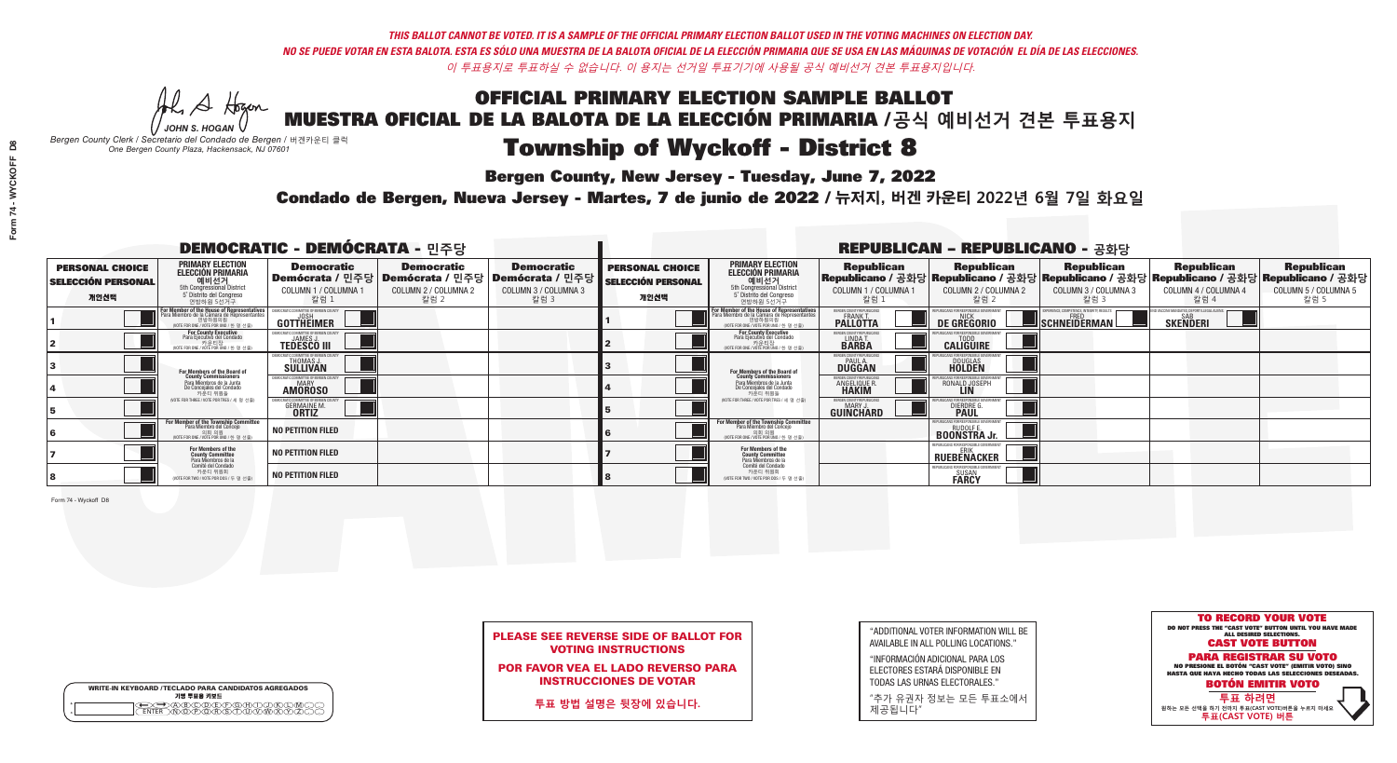Al Stogan

**Bergen County, New Jersey - Tuesday, June 7, 2022** 

| <b>WRITE-IN KEYBOARD /TECLADO PARA CANDIDATOS AGREGADOS</b><br>기명 투표용 키보드 |
|---------------------------------------------------------------------------|
| )(B)C)(D)(E)(F)(G)(H)(<br>፞ <sup></sup> ፟፝፟፟፟፟፼ৣঢ়ৣ৻ড়৾ৼ                  |

*JOHN S. HOGAN Bergen County Clerk / Secretario del Condado de Bergen /* 버겐카운티 클럭 *One Bergen County Plaza, Hackensack, NJ 07601*



| <b>PLEASE SEE REVERSE SIDE OF BALLOT FOR</b> |
|----------------------------------------------|
| <b>VOTING INSTRUCTIONS</b>                   |

POR FAVOR VEA EL LADO REVERSO PARA INSTRUCCIONES DE VOTAR

**투표 방법 설명은 뒷장에 있습니다.**

"ADDITIONAL VOTER INFORMATION WILL BE AVAILABLE IN ALL POLLING LOCATIONS."

"INFORMACIÓN ADICIONAL PARA LOS ELECTORES ESTARÁ DISPONIBLE EN TODAS LAS URNAS ELECTORALES."

"추가 유권자 정보는 모든 투표소에서 제공됩니다"

Condado de Bergen, Nueva Jersey - Martes, 7 de junio de 2022 / 뉴저지, 버겐 카운티 2022년 6월 7일 화요일 *One Bergen County Plaza, Hackensack, NJ 07601*

| <b>DEMOCRATIC - DEMÓCRATA - 민주당</b>                         |                                                                                                                                             |                                                            |                                                                                                        | <b>REPUBLICAN - REPUBLICANO - 공화당</b>             |                                                             |                                                                                                                                                                            |                                                 |                                                              |                                                   |                                                                                                                                                |                                                   |
|-------------------------------------------------------------|---------------------------------------------------------------------------------------------------------------------------------------------|------------------------------------------------------------|--------------------------------------------------------------------------------------------------------|---------------------------------------------------|-------------------------------------------------------------|----------------------------------------------------------------------------------------------------------------------------------------------------------------------------|-------------------------------------------------|--------------------------------------------------------------|---------------------------------------------------|------------------------------------------------------------------------------------------------------------------------------------------------|---------------------------------------------------|
| <b>PERSONAL CHOICE</b><br><b>SELECCIÓN PERSONAL</b><br>개인선택 | <b>PRIMARY ELECTION</b><br>ELECCIÓN PRIMARIA<br>예비선거<br><sub>5th Congressional District</sub><br>5° Distrito del Congreso<br>연방하원 5선거구      | <b>Democratic</b><br>COLUMN 1 / COLUMNA 1<br>·칼럼 :         | <b>Democratic</b><br>│Demócrata / 민주당│Demócrata / 민주당│Demócrata / 민주당┃<br>COLUMN 2 / COLUMNA 2<br>칼럼 2 | <b>Democratic</b><br>COLUMN 3 / COLUMNA 3<br>칼럼 3 | <b>PERSONAL CHOICE</b><br><b>SELECCIÓN PERSONAL</b><br>개인선택 | <b>PRIMARY ELECTION</b><br><b>ELECCIÓN PRIMARIA</b><br>예비선거<br><sub>5</sub> Distrite del Congression<br>Sin Congressional District<br>5 Distrite del Congreso<br>연방하원 5선거구 | <b>Republican</b><br>COLUMN 1 / COLUMNA 1<br>칼럼 | <b>Republican</b><br>COLUMN 2 / COLUMNA 2<br>·칼럼 2           | <b>Republican</b><br>COLUMN 3 / COLUMNA 3<br>칼럼 3 | <b>Republican</b><br>Republicano / 공화당 Republicano / 공화당 Republicano / 공화당 Republicano / 공화당 Republicano / 공화당<br>COLUMN 4 / COLUMNA 4<br>칼럼 4 | <b>Republican</b><br>COLUMN 5 / COLUMNA 5<br>칼럼 5 |
|                                                             | or Member of the House of Representatives<br>ara Miembro de la Cámara de Representantes<br>연방하원의원<br>(VOTE FOR ONE / VOTE POR UNO / 한 명 선출) | GOTTHEIMER                                                 |                                                                                                        |                                                   |                                                             | For Member of the House of Representatives<br>Para Miembro de la Cámara de Representantes<br>연방하원의원<br>(VOTE FOR ONE / VOTE POR UNO / 한 명 선출)                              | ERGEN COUNTY REPUBLICAN<br><b>PALLOTTA</b>      | DE GREGORIO                                                  | SCHNEIDERMAN                                      | SKEÑDERI                                                                                                                                       |                                                   |
|                                                             | For County Executive<br>Para Ejecutivo del Condado<br>. 카운티장<br>(VOTE FOR ONE / VOTE POR UNO / 한 명 선출)                                      | <b>EMOCRATIC COMMITTEE OF REBGEN</b><br><b>TEDESCO III</b> |                                                                                                        |                                                   |                                                             | <b>For County Executive</b><br>Para Ejecutivo del Condado<br>가운티장<br>(VOTE FOR ONE / VOTE POR UNO / 한명선출                                                                   | BERGEN COUNTY REPUBLICAL<br>LINDA T.            | <b>CALIGUIRE</b>                                             |                                                   |                                                                                                                                                |                                                   |
|                                                             | For Members of the Board of<br>County Commissioners                                                                                         | OCRATIC COMMITTEE OF BERGEN COUN'<br>THOMAS J.             |                                                                                                        |                                                   |                                                             | For Members of the Board of<br>County Commissioners                                                                                                                        | ERGEN COUNTY REPUBLICAN<br><b>DUGGAN</b>        | DOUGLAS<br><b>HOLDEN</b>                                     |                                                   |                                                                                                                                                |                                                   |
|                                                             | Para Miembros de la Junta<br>De Concejales del Condado<br>카우티 위원들                                                                           | IOCRATIC COMMITTEE OF BERGEN COUNT<br><b>AMOROSO</b>       |                                                                                                        |                                                   |                                                             | Para Miembros de la Junta<br>De Concejales del Condado<br>카운티 위원들                                                                                                          | <b>ANGELIQUE R</b><br><b>HAKIM</b>              | RONALD JOSEPH                                                |                                                   |                                                                                                                                                |                                                   |
|                                                             | VOTE FOR THREE / VOTE POR TRES / 세 명 선출                                                                                                     | RATIC COMMITTEE OF BERGEN (<br><b>GERMAINE M</b>           |                                                                                                        |                                                   |                                                             | NOTE FOR THREE / VOTE POR TRES / 세 명 선출)                                                                                                                                   | ERGEN COUNTY REPUBLICAN:<br><b>GUINCHARD</b>    | DIERDRE                                                      |                                                   |                                                                                                                                                |                                                   |
|                                                             | For Member of the Township Committee<br>Para Miembro del Concejo<br>(VOTE FOR ONE / VOTE POR UNO / 한 명 선                                    | <b>NO PETITION FILED</b>                                   |                                                                                                        |                                                   |                                                             | For Member of the Township Committee<br>Para Miembro del Concejo<br>(VOTE FOR ONE / VOTE POR UNO / 한 명 선출                                                                  |                                                 | <b>BOONSTRA Jr.</b>                                          |                                                   |                                                                                                                                                |                                                   |
|                                                             | For Members of the<br>County Committee<br>Para Miembros de la<br>Comité del Condado                                                         | <b>NO PETITION FILED</b>                                   |                                                                                                        |                                                   |                                                             | For Members of the<br>County Committee<br>Para Miembros de la<br>Comité del Condado                                                                                        |                                                 | REPUBLICANS FOR RESPONSIBLE GOVERNMENT<br><b>RUEBENACKER</b> |                                                   |                                                                                                                                                |                                                   |
|                                                             | 카운티 위원회<br>WOTE FOR TWO / VOTE POR DOS / 두 명 선출)                                                                                            | <b>NO PETITION FILED</b>                                   |                                                                                                        |                                                   |                                                             | 카운티 위원회<br>NOTE FOR TWO / VOTE POR DOS / 두 명 선출)                                                                                                                           |                                                 | SUSAN<br><b>FARCY</b>                                        |                                                   |                                                                                                                                                |                                                   |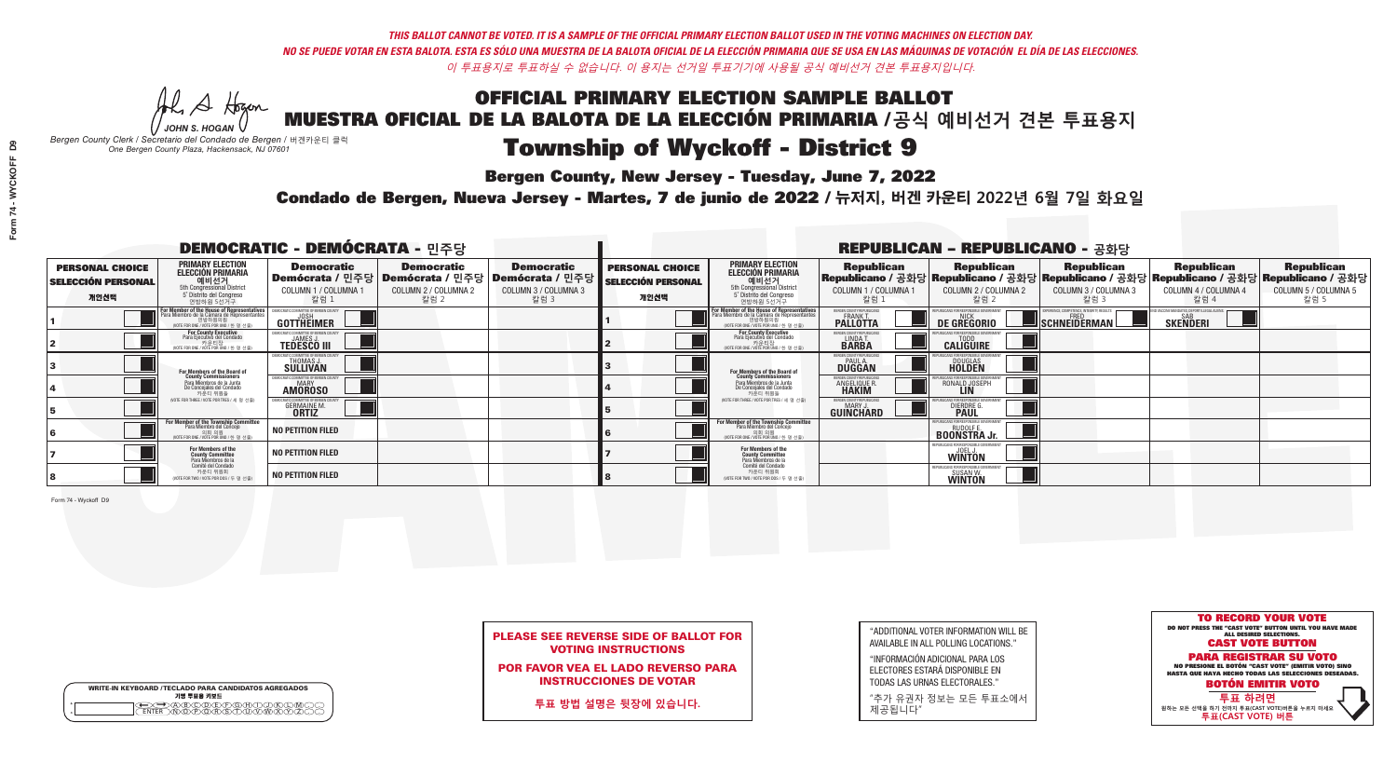Al Stogan

**Bergen County, New Jersey - Tuesday, June 7, 2022** 

|                       | <b>WRITE-IN KEYBOARD /TECLADO PARA CANDIDATOS AGREGADOS</b><br>기명 투표용 키보드 |  |
|-----------------------|---------------------------------------------------------------------------|--|
| $^{\circ}$<br>$\circ$ |                                                                           |  |

*JOHN S. HOGAN Bergen County Clerk / Secretario del Condado de Bergen /* 버겐카운티 클럭 *One Bergen County Plaza, Hackensack, NJ 07601*



| <b>PLEASE SEE REVERSE SIDE OF BALLOT FOR</b> |
|----------------------------------------------|
| <b>VOTING INSTRUCTIONS</b>                   |

POR FAVOR VEA EL LADO REVERSO PARA INSTRUCCIONES DE VOTAR

**투표 방법 설명은 뒷장에 있습니다.**

"ADDITIONAL VOTER INFORMATION WILL BE AVAILABLE IN ALL POLLING LOCATIONS."

"INFORMACIÓN ADICIONAL PARA LOS ELECTORES ESTARÁ DISPONIBLE EN TODAS LAS URNAS ELECTORALES."

"추가 유권자 정보는 모든 투표소에서 제공됩니다"

Condado de Bergen, Nueva Jersey - Martes, 7 de junio de 2022 / 뉴저지, 버겐 카운티 2022년 6월 7일 화요일 *One Bergen County Plaza, Hackensack, NJ 07601*

| <b>DEMOCRATIC - DEMÓCRATA - 민주당</b>                         |                                                                                                                                               |                                                      |                                                                                                        | <b>REPUBLICAN - REPUBLICANO - 공화당</b>             |                                                             |                                                                                                                                                       |                                                              |                                                   |                                                                                                                                                |                                                   |                                                   |
|-------------------------------------------------------------|-----------------------------------------------------------------------------------------------------------------------------------------------|------------------------------------------------------|--------------------------------------------------------------------------------------------------------|---------------------------------------------------|-------------------------------------------------------------|-------------------------------------------------------------------------------------------------------------------------------------------------------|--------------------------------------------------------------|---------------------------------------------------|------------------------------------------------------------------------------------------------------------------------------------------------|---------------------------------------------------|---------------------------------------------------|
| <b>PERSONAL CHOICE</b><br><b>SELECCIÓN PERSONAL</b><br>개인선택 | <b>PRIMARY ELECTION</b><br>ELECCIÓN PRIMARIA<br>예비선거<br>5th Congressional District<br>5° Distrito del Congreso<br>연방하원 5선거구                   | <b>Democratic</b><br>COLUMN 1 / COLUMNA 1<br>칼럼 :    | <b>Democratic</b><br>│Demócrata / 민주당│Demócrata / 민주당│Demócrata / 민주당│<br>COLUMN 2 / COLUMNA 2<br>칼럼 2 | <b>Democratic</b><br>COLUMN 3 / COLUMNA 3<br>칼럼 3 | <b>PERSONAL CHOICE</b><br><b>SELECCIÓN PERSONAL</b><br>개인선택 | <b>PRIMARY ELECTION</b><br><b>ELECCIÓN PRIMARIA</b><br><b>에비선거</b><br>5th Congressional District<br>5 <sup>'</sup> Distrito del Congreso<br>연방하원 5선거구 | <b>Republican</b><br>COLUMN 1 / COLUMNA 1<br>칼럼              | <b>Republican</b><br>COLUMN 2 / COLUMNA 2<br>칼럼 2 | <b>Republican</b><br>Republicano / 공화당 Republicano / 공화당 Republicano / 공화당 Republicano / 공화당 Republicano / 공화당<br>COLUMN 3 / COLUMNA 3<br>칼럼 3 | <b>Republican</b><br>COLUMN 4 / COLUMNA 4<br>칼럼 4 | <b>Republican</b><br>COLUMN 5 / COLUMNA 5<br>칼럼 5 |
|                                                             | For Member of the House of Representatives<br>Para Miembro de la Cámara de Representantes<br>연방하원의원<br>(VOTE FOR ONE / VOTE POR UNO / 한 명 선출) | GOTTHEIMER                                           |                                                                                                        |                                                   |                                                             | <b>For Member of the House of Representatives<br/>Para Miembro de la Cámara de Representantes</b><br>WOTE FOR ONE / VOTE POR UNO / 한 명 선출             | RGEN COUNTY REPUBLICAN!<br><b>PALLOTTA</b>                   | DE GREGORIO                                       | SCHNEIDERMAN                                                                                                                                   | <b>SAB</b><br>SKEÑDERI                            |                                                   |
|                                                             | For County Executive<br>Para Ejecutivo del Condado<br>(VOTE FOR ONE / VOTE POR UNO / 한 명 선출)                                                  | <b>TEDESCO III</b>                                   |                                                                                                        |                                                   |                                                             | For County Executive<br>Para Ejecutivo del Condado<br>7) 카운티장<br>(VOTE FOR ONE / VOTE POR UNO / 한 명 선출                                                | <b>FRGEN COUNTY REPUBLICAL</b><br>LINDA T.                   | <b>CALIGUIRE</b>                                  |                                                                                                                                                |                                                   |                                                   |
|                                                             | <b>For Members of the Board of<br/>County Commissioners</b>                                                                                   | THOMAS J.                                            |                                                                                                        |                                                   |                                                             | For Members of the Board of<br>County Commissioners                                                                                                   | ERGEN COUNTY REPUBLICAL<br><b>DUGGAN</b>                     | DOUGLAS<br><b>HOLDEN</b>                          |                                                                                                                                                |                                                   |                                                   |
|                                                             | Para Miembros de la Junta<br>De Concejales del Condado<br>카우티 위원들                                                                             | IOCRATIC COMMITTEE OF BERGEN COUNT<br><b>AMOROSO</b> |                                                                                                        |                                                   |                                                             | Para Miembros de la Junta<br>De Concejales del Condado<br>카운티 위원들                                                                                     | RGEN COUNTY REPUBLICAL<br><b>ANGELIQUE R</b><br><b>HAKIM</b> | RONALD JOSEPH                                     |                                                                                                                                                |                                                   |                                                   |
|                                                             | NOTE FOR THREE / VOTE POR TRES / 세 명 선출)                                                                                                      | GERMAINE M<br><b>ORTIZ</b>                           |                                                                                                        |                                                   |                                                             | NOTE FOR THREE / VOTE POR TRES / 세 명 선출                                                                                                               | ERGEN COUNTY REPUBLICANS<br><b>GUINCHARD</b>                 | DIERDRE                                           |                                                                                                                                                |                                                   |                                                   |
|                                                             | For Member of the Township Committee<br>Para Miembro del Conceio<br>(VOTE FOR ONE / VOTE POR UNO / 한 명 선                                      | <b>NO PETITION FILED</b>                             |                                                                                                        |                                                   |                                                             | For Member of the Township Committee<br>Para Miembro del Concejo<br>의회 의워<br>(VOTE FOR ONE / VOTE POR UNO / 한 명 선렬                                    |                                                              | <b>BOONSTRA Jr.</b>                               |                                                                                                                                                |                                                   |                                                   |
|                                                             | For Members of the<br>County Committee<br>Para Miembros de la<br>Comité del Condado                                                           | <b>NO PETITION FILED</b>                             |                                                                                                        |                                                   |                                                             | For Members of the<br>County Committee<br>Para Miembros de la<br>Comité del Condado                                                                   |                                                              | EPUBLICANS FOR RESPONSIBLE GOVE<br><b>WINTON</b>  |                                                                                                                                                |                                                   |                                                   |
|                                                             | 카운티 위원회<br>WOTE FOR TWO / VOTE POR DOS / 두 명 선출)                                                                                              | <b>NO PETITION FILED</b>                             |                                                                                                        |                                                   |                                                             | 카운티 위원회<br>WOTE FOR TWO / VOTE POR DOS / 두 명 선출)                                                                                                      |                                                              | SUSAN W.<br><b>WINTON</b>                         |                                                                                                                                                |                                                   |                                                   |